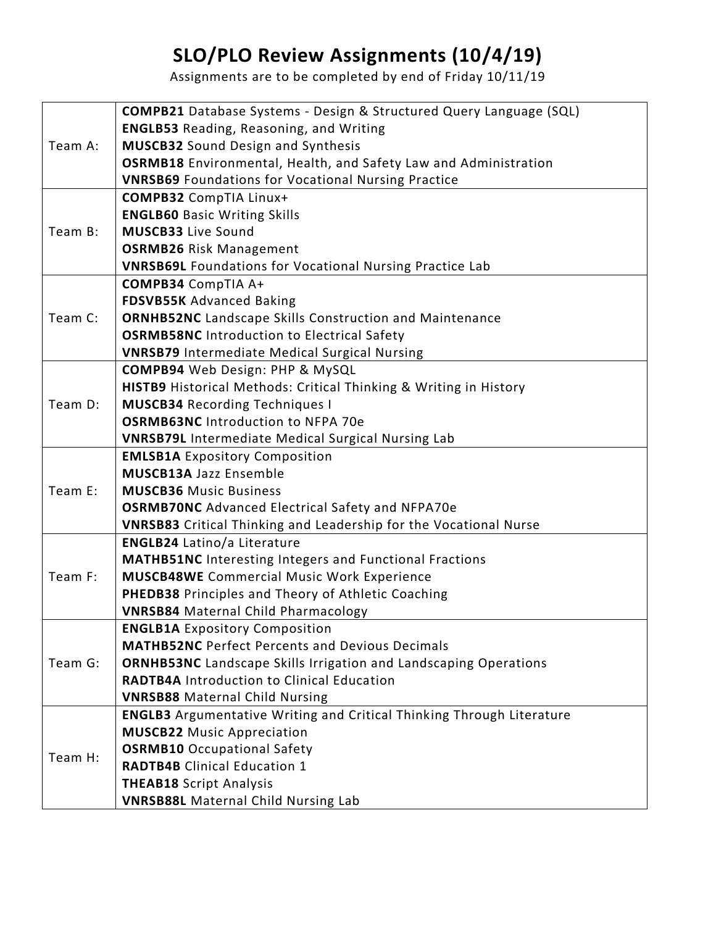## **SLO/PLO Review Assignments (10/4/19)**

Assignments are to be completed by end of Friday 10/11/19

|         | <b>COMPB21</b> Database Systems - Design & Structured Query Language (SQL)   |
|---------|------------------------------------------------------------------------------|
| Team A: | <b>ENGLB53</b> Reading, Reasoning, and Writing                               |
|         | <b>MUSCB32</b> Sound Design and Synthesis                                    |
|         | OSRMB18 Environmental, Health, and Safety Law and Administration             |
|         | <b>VNRSB69</b> Foundations for Vocational Nursing Practice                   |
| Team B: | <b>COMPB32</b> CompTIA Linux+                                                |
|         | <b>ENGLB60 Basic Writing Skills</b>                                          |
|         | <b>MUSCB33 Live Sound</b>                                                    |
|         | <b>OSRMB26 Risk Management</b>                                               |
|         | <b>VNRSB69L Foundations for Vocational Nursing Practice Lab</b>              |
| Team C: | <b>COMPB34 CompTIA A+</b>                                                    |
|         | <b>FDSVB55K Advanced Baking</b>                                              |
|         | <b>ORNHB52NC</b> Landscape Skills Construction and Maintenance               |
|         | <b>OSRMB58NC</b> Introduction to Electrical Safety                           |
|         | <b>VNRSB79</b> Intermediate Medical Surgical Nursing                         |
| Team D: | <b>COMPB94</b> Web Design: PHP & MySQL                                       |
|         | HISTB9 Historical Methods: Critical Thinking & Writing in History            |
|         | <b>MUSCB34 Recording Techniques I</b>                                        |
|         | <b>OSRMB63NC</b> Introduction to NFPA 70e                                    |
|         | <b>VNRSB79L Intermediate Medical Surgical Nursing Lab</b>                    |
| Team E: | <b>EMLSB1A Expository Composition</b>                                        |
|         | <b>MUSCB13A Jazz Ensemble</b>                                                |
|         | <b>MUSCB36 Music Business</b>                                                |
|         | <b>OSRMB70NC</b> Advanced Electrical Safety and NFPA70e                      |
|         | <b>VNRSB83</b> Critical Thinking and Leadership for the Vocational Nurse     |
| Team F: | <b>ENGLB24</b> Latino/a Literature                                           |
|         | <b>MATHB51NC</b> Interesting Integers and Functional Fractions               |
|         | <b>MUSCB48WE</b> Commercial Music Work Experience                            |
|         | PHEDB38 Principles and Theory of Athletic Coaching                           |
|         | <b>VNRSB84</b> Maternal Child Pharmacology                                   |
| Team G: | <b>ENGLB1A Expository Composition</b>                                        |
|         | <b>MATHB52NC Perfect Percents and Devious Decimals</b>                       |
|         | <b>ORNHB53NC</b> Landscape Skills Irrigation and Landscaping Operations      |
|         | <b>RADTB4A</b> Introduction to Clinical Education                            |
|         | <b>VNRSB88</b> Maternal Child Nursing                                        |
| Team H: | <b>ENGLB3</b> Argumentative Writing and Critical Thinking Through Literature |
|         | <b>MUSCB22 Music Appreciation</b>                                            |
|         | <b>OSRMB10</b> Occupational Safety                                           |
|         | <b>RADTB4B</b> Clinical Education 1                                          |
|         | <b>THEAB18 Script Analysis</b>                                               |
|         | <b>VNRSB88L Maternal Child Nursing Lab</b>                                   |